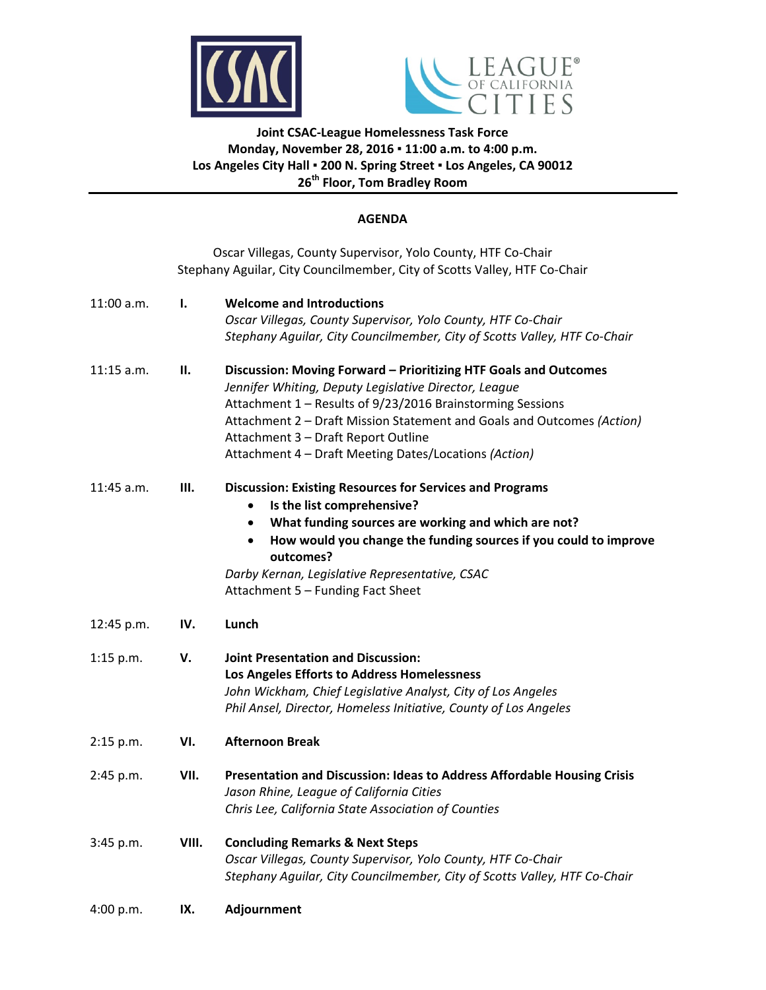



## **Joint CSAC‐League Homelessness Task Force Monday, November 28, 2016 ▪ 11:00 a.m. to 4:00 p.m. Los Angeles City Hall ▪ 200 N. Spring Street ▪ Los Angeles, CA 90012 26th Floor, Tom Bradley Room**

#### **AGENDA**

|              |       | Oscar Villegas, County Supervisor, Yolo County, HTF Co-Chair<br>Stephany Aguilar, City Councilmember, City of Scotts Valley, HTF Co-Chair                                                                                                                                                                                                                         |
|--------------|-------|-------------------------------------------------------------------------------------------------------------------------------------------------------------------------------------------------------------------------------------------------------------------------------------------------------------------------------------------------------------------|
| 11:00 a.m.   | Ι.    | <b>Welcome and Introductions</b><br>Oscar Villegas, County Supervisor, Yolo County, HTF Co-Chair<br>Stephany Aguilar, City Councilmember, City of Scotts Valley, HTF Co-Chair                                                                                                                                                                                     |
| $11:15$ a.m. | П.    | Discussion: Moving Forward - Prioritizing HTF Goals and Outcomes<br>Jennifer Whiting, Deputy Legislative Director, League<br>Attachment 1 - Results of 9/23/2016 Brainstorming Sessions<br>Attachment 2 - Draft Mission Statement and Goals and Outcomes (Action)<br>Attachment 3 - Draft Report Outline<br>Attachment 4 - Draft Meeting Dates/Locations (Action) |
| 11:45 a.m.   | Ш.    | <b>Discussion: Existing Resources for Services and Programs</b><br>Is the list comprehensive?<br>What funding sources are working and which are not?<br>٠<br>How would you change the funding sources if you could to improve<br>$\bullet$<br>outcomes?<br>Darby Kernan, Legislative Representative, CSAC<br>Attachment 5 - Funding Fact Sheet                    |
| 12:45 p.m.   | IV.   | Lunch                                                                                                                                                                                                                                                                                                                                                             |
| $1:15$ p.m.  | V.    | <b>Joint Presentation and Discussion:</b><br>Los Angeles Efforts to Address Homelessness<br>John Wickham, Chief Legislative Analyst, City of Los Angeles<br>Phil Ansel, Director, Homeless Initiative, County of Los Angeles                                                                                                                                      |
| 2:15 p.m.    | VI.   | <b>Afternoon Break</b>                                                                                                                                                                                                                                                                                                                                            |
| 2:45 p.m.    | VII.  | Presentation and Discussion: Ideas to Address Affordable Housing Crisis<br>Jason Rhine, League of California Cities<br>Chris Lee, California State Association of Counties                                                                                                                                                                                        |
| 3:45 p.m.    | VIII. | <b>Concluding Remarks &amp; Next Steps</b><br>Oscar Villegas, County Supervisor, Yolo County, HTF Co-Chair<br>Stephany Aguilar, City Councilmember, City of Scotts Valley, HTF Co-Chair                                                                                                                                                                           |
| 4:00 p.m.    | IX.   | Adjournment                                                                                                                                                                                                                                                                                                                                                       |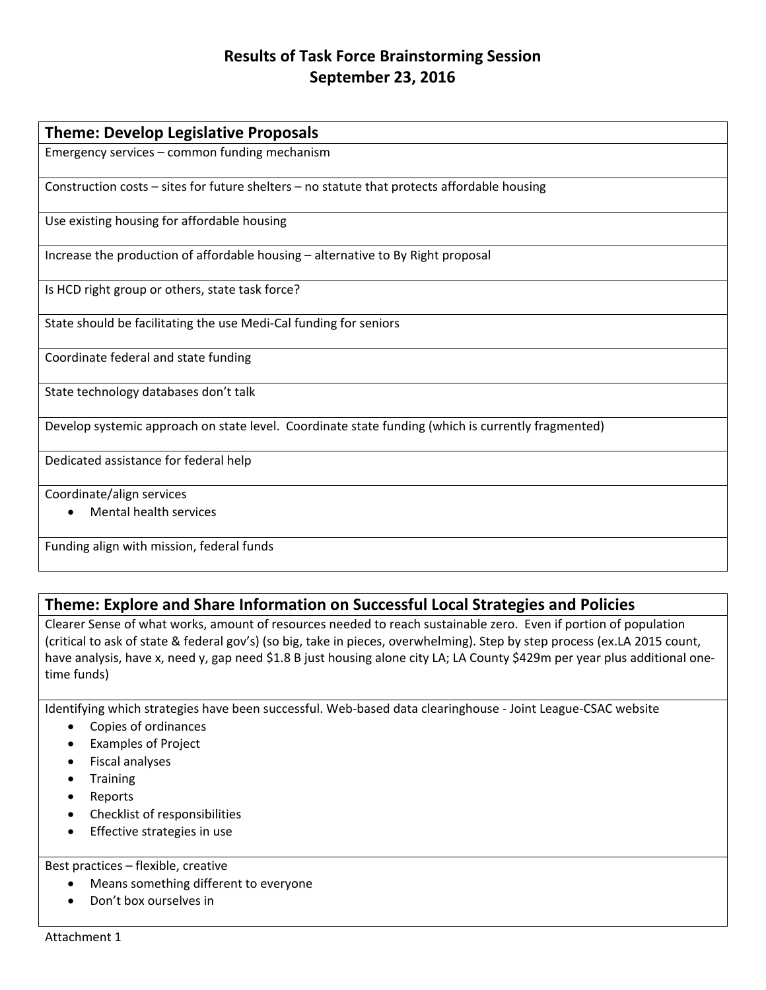## **Results of Task Force Brainstorming Session September 23, 2016**

| <b>Theme: Develop Legislative Proposals</b>                                                        |  |  |
|----------------------------------------------------------------------------------------------------|--|--|
| Emergency services - common funding mechanism                                                      |  |  |
| Construction costs - sites for future shelters - no statute that protects affordable housing       |  |  |
| Use existing housing for affordable housing                                                        |  |  |
| Increase the production of affordable housing – alternative to By Right proposal                   |  |  |
| Is HCD right group or others, state task force?                                                    |  |  |
| State should be facilitating the use Medi-Cal funding for seniors                                  |  |  |
| Coordinate federal and state funding                                                               |  |  |
| State technology databases don't talk                                                              |  |  |
| Develop systemic approach on state level. Coordinate state funding (which is currently fragmented) |  |  |
| Dedicated assistance for federal help                                                              |  |  |
| Coordinate/align services                                                                          |  |  |
| <b>Mental health services</b>                                                                      |  |  |
| Funding align with mission, federal funds                                                          |  |  |

# **Theme: Explore and Share Information on Successful Local Strategies and Policies**

Clearer Sense of what works, amount of resources needed to reach sustainable zero. Even if portion of population (critical to ask of state & federal gov's) (so big, take in pieces, overwhelming). Step by step process (ex.LA 2015 count, have analysis, have x, need y, gap need \$1.8 B just housing alone city LA; LA County \$429m per year plus additional onetime funds)

Identifying which strategies have been successful. Web-based data clearinghouse - Joint League-CSAC website

- Copies of ordinances
- Examples of Project
- Fiscal analyses
- Training
- Reports
- Checklist of responsibilities
- **•** Effective strategies in use

## Best practices – flexible, creative

- Means something different to everyone
- Don't box ourselves in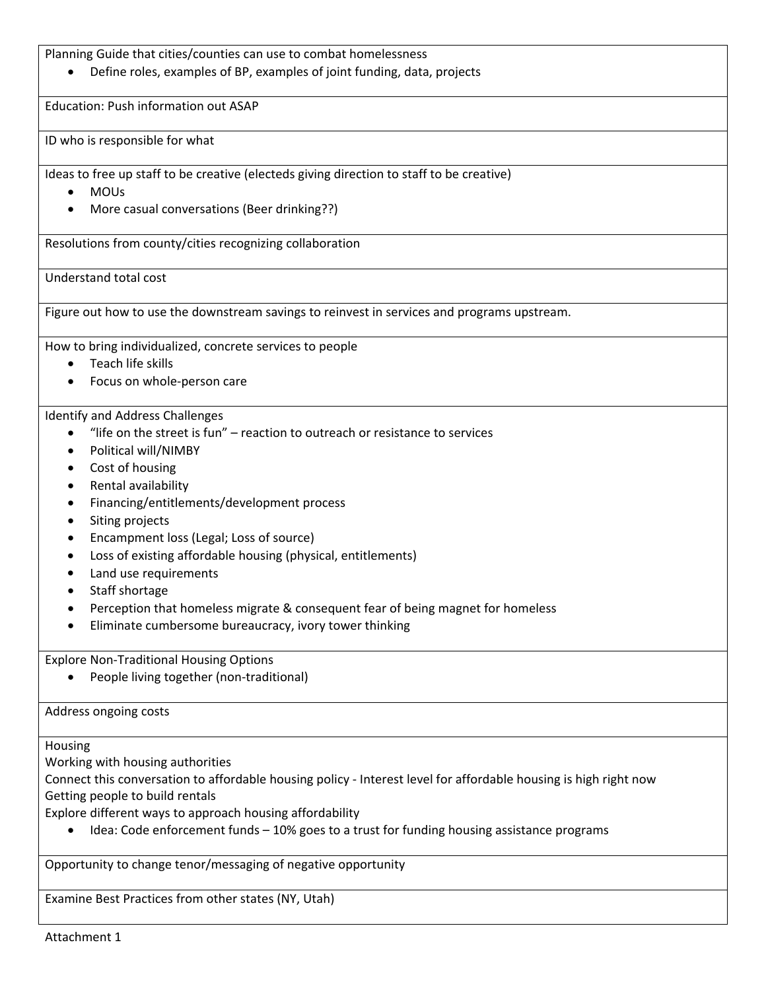Planning Guide that cities/counties can use to combat homelessness

Define roles, examples of BP, examples of joint funding, data, projects

Education: Push information out ASAP

ID who is responsible for what

Ideas to free up staff to be creative (electeds giving direction to staff to be creative)

- MOUs
- More casual conversations (Beer drinking??)

Resolutions from county/cities recognizing collaboration

Understand total cost

Figure out how to use the downstream savings to reinvest in services and programs upstream.

How to bring individualized, concrete services to people

- Teach life skills
- Focus on whole‐person care

Identify and Address Challenges

- "life on the street is fun" reaction to outreach or resistance to services
- Political will/NIMBY
- Cost of housing
- Rental availability
- Financing/entitlements/development process
- Siting projects
- Encampment loss (Legal; Loss of source)
- Loss of existing affordable housing (physical, entitlements)
- Land use requirements
- Staff shortage
- Perception that homeless migrate & consequent fear of being magnet for homeless
- Eliminate cumbersome bureaucracy, ivory tower thinking

Explore Non‐Traditional Housing Options

● People living together (non-traditional)

Address ongoing costs

Housing

Working with housing authorities

Connect this conversation to affordable housing policy ‐ Interest level for affordable housing is high right now Getting people to build rentals

Explore different ways to approach housing affordability

Idea: Code enforcement funds – 10% goes to a trust for funding housing assistance programs

Opportunity to change tenor/messaging of negative opportunity

Examine Best Practices from other states (NY, Utah)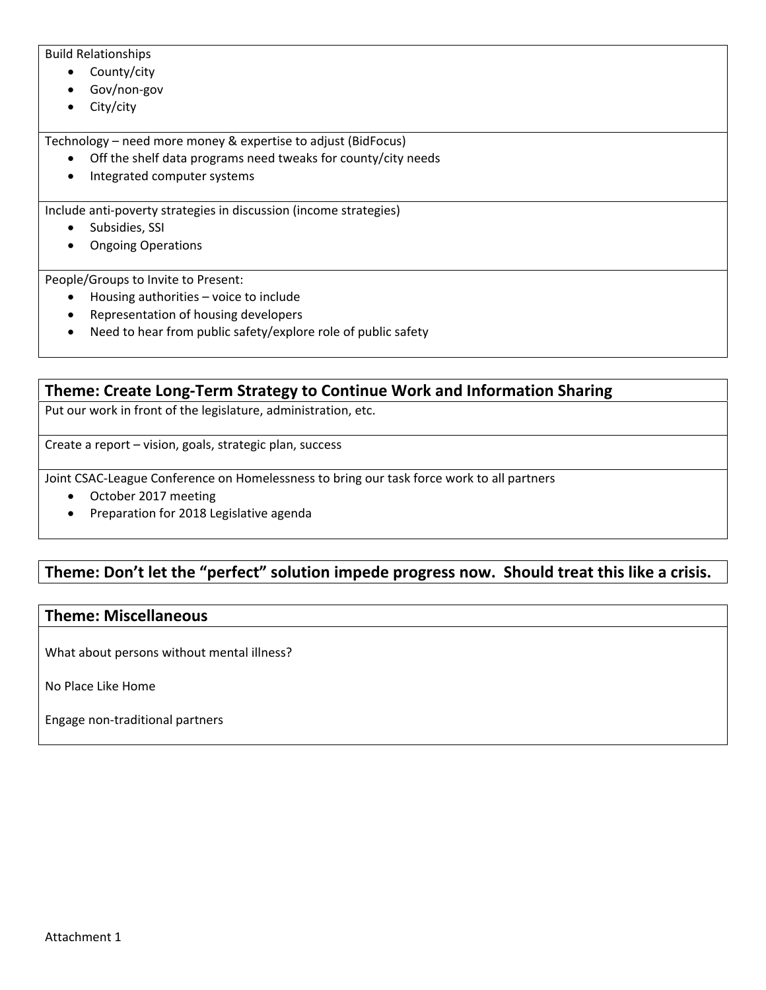Build Relationships

- County/city
- Gov/non-gov
- City/city

Technology – need more money & expertise to adjust (BidFocus)

- Off the shelf data programs need tweaks for county/city needs
- Integrated computer systems

Include anti‐poverty strategies in discussion (income strategies)

- Subsidies, SSI
- Ongoing Operations

People/Groups to Invite to Present:

- Housing authorities voice to include
- Representation of housing developers
- Need to hear from public safety/explore role of public safety

**Theme: Create Long‐Term Strategy to Continue Work and Information Sharing** Put our work in front of the legislature, administration, etc. Create a report – vision, goals, strategic plan, success

Joint CSAC‐League Conference on Homelessness to bring our task force work to all partners

- October 2017 meeting
- Preparation for 2018 Legislative agenda

# **Theme: Don't let the "perfect" solution impede progress now. Should treat this like a crisis.**

## **Theme: Miscellaneous**

What about persons without mental illness?

No Place Like Home

Engage non‐traditional partners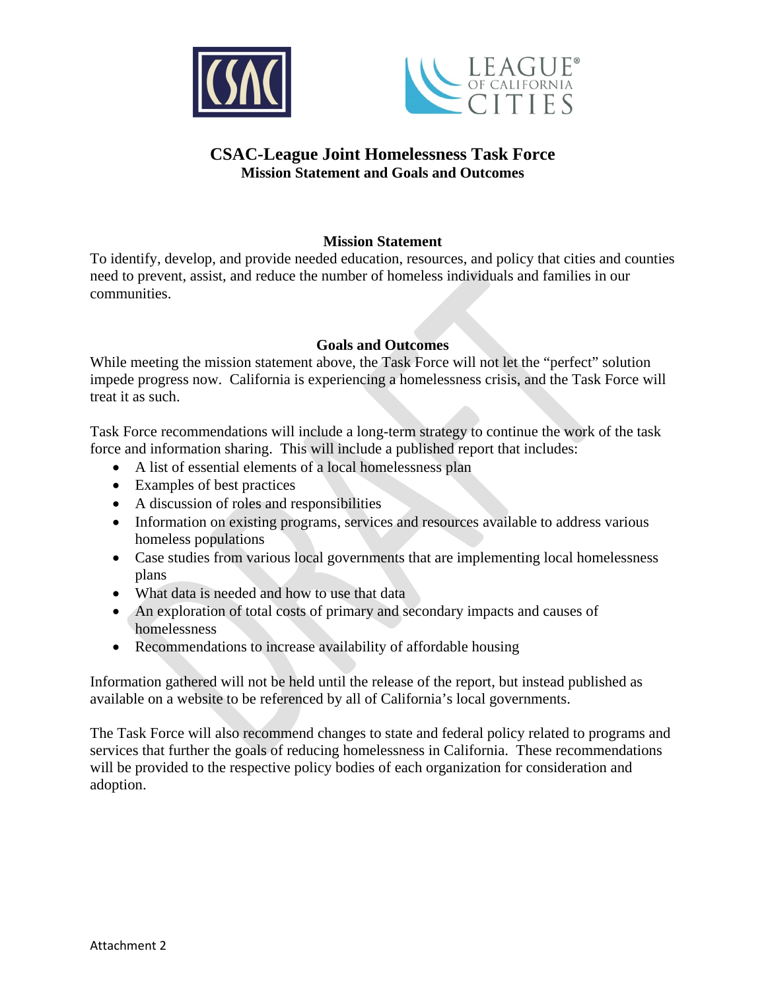



## **CSAC-League Joint Homelessness Task Force Mission Statement and Goals and Outcomes**

## **Mission Statement**

To identify, develop, and provide needed education, resources, and policy that cities and counties need to prevent, assist, and reduce the number of homeless individuals and families in our communities.

## **Goals and Outcomes**

While meeting the mission statement above, the Task Force will not let the "perfect" solution impede progress now. California is experiencing a homelessness crisis, and the Task Force will treat it as such.

Task Force recommendations will include a long-term strategy to continue the work of the task force and information sharing. This will include a published report that includes:

- A list of essential elements of a local homelessness plan
- Examples of best practices
- A discussion of roles and responsibilities
- Information on existing programs, services and resources available to address various homeless populations
- Case studies from various local governments that are implementing local homelessness plans
- What data is needed and how to use that data
- An exploration of total costs of primary and secondary impacts and causes of homelessness
- Recommendations to increase availability of affordable housing

Information gathered will not be held until the release of the report, but instead published as available on a website to be referenced by all of California's local governments.

The Task Force will also recommend changes to state and federal policy related to programs and services that further the goals of reducing homelessness in California. These recommendations will be provided to the respective policy bodies of each organization for consideration and adoption.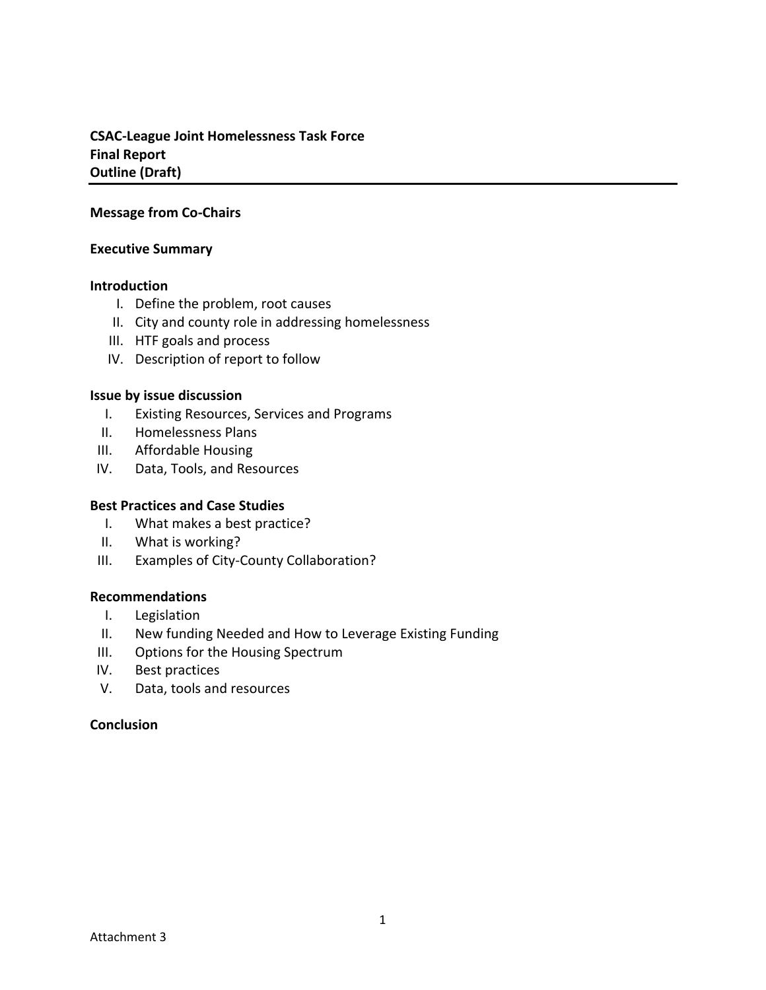## **CSAC‐League Joint Homelessness Task Force Final Report Outline (Draft)**

#### **Message from Co‐Chairs**

#### **Executive Summary**

#### **Introduction**

- I. Define the problem, root causes
- II. City and county role in addressing homelessness
- III. HTF goals and process
- IV. Description of report to follow

#### **Issue by issue discussion**

- I. Existing Resources, Services and Programs
- II. Homelessness Plans
- III. Affordable Housing
- IV. Data, Tools, and Resources

#### **Best Practices and Case Studies**

- I. What makes a best practice?
- II. What is working?
- III. Examples of City‐County Collaboration?

#### **Recommendations**

- I. Legislation
- II. New funding Needed and How to Leverage Existing Funding
- III. Options for the Housing Spectrum
- IV. Best practices
- V. Data, tools and resources

#### **Conclusion**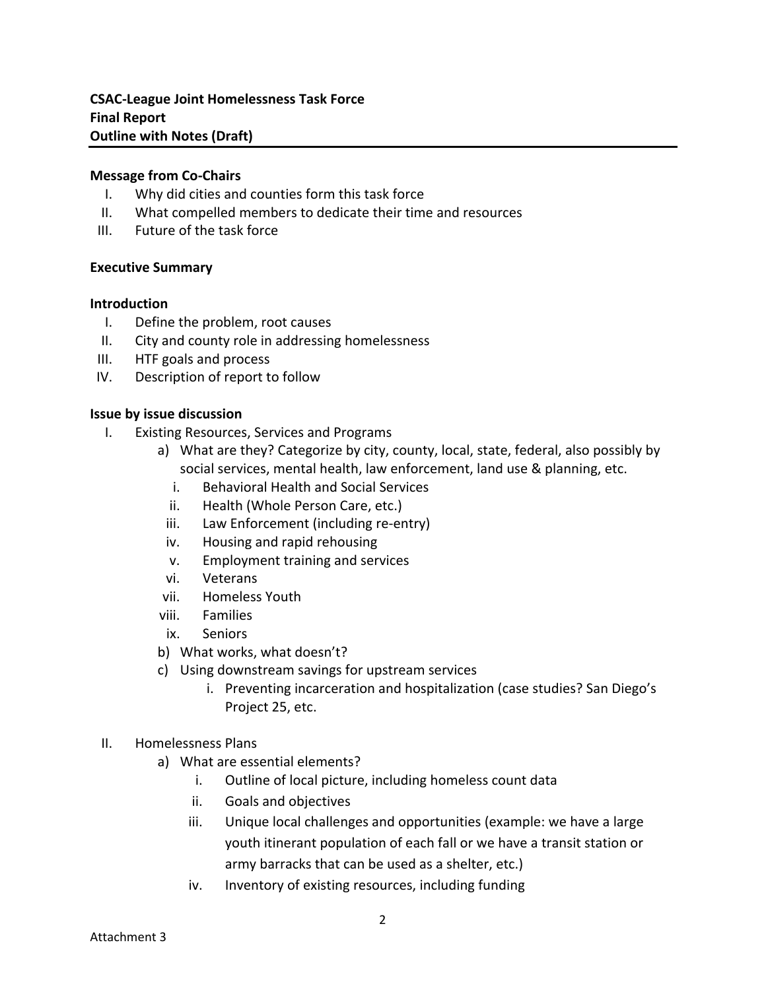#### **Message from Co‐Chairs**

- I. Why did cities and counties form this task force
- II. What compelled members to dedicate their time and resources
- III. Future of the task force

#### **Executive Summary**

#### **Introduction**

- I. Define the problem, root causes
- II. City and county role in addressing homelessness
- III. HTF goals and process
- IV. Description of report to follow

#### **Issue by issue discussion**

- I. Existing Resources, Services and Programs
	- a) What are they? Categorize by city, county, local, state, federal, also possibly by social services, mental health, law enforcement, land use & planning, etc.
		- i. Behavioral Health and Social Services
		- ii. Health (Whole Person Care, etc.)
		- iii. Law Enforcement (including re-entry)
		- iv. Housing and rapid rehousing
		- v. Employment training and services
	- vi. Veterans
	- vii. Homeless Youth
	- viii. Families
	- ix. Seniors
	- b) What works, what doesn't?
	- c) Using downstream savings for upstream services
		- i. Preventing incarceration and hospitalization (case studies? San Diego's Project 25, etc.
- II. Homelessness Plans
	- a) What are essential elements?
		- i. Outline of local picture, including homeless count data
		- ii. Goals and objectives
		- iii. Unique local challenges and opportunities (example: we have a large youth itinerant population of each fall or we have a transit station or army barracks that can be used as a shelter, etc.)
		- iv. Inventory of existing resources, including funding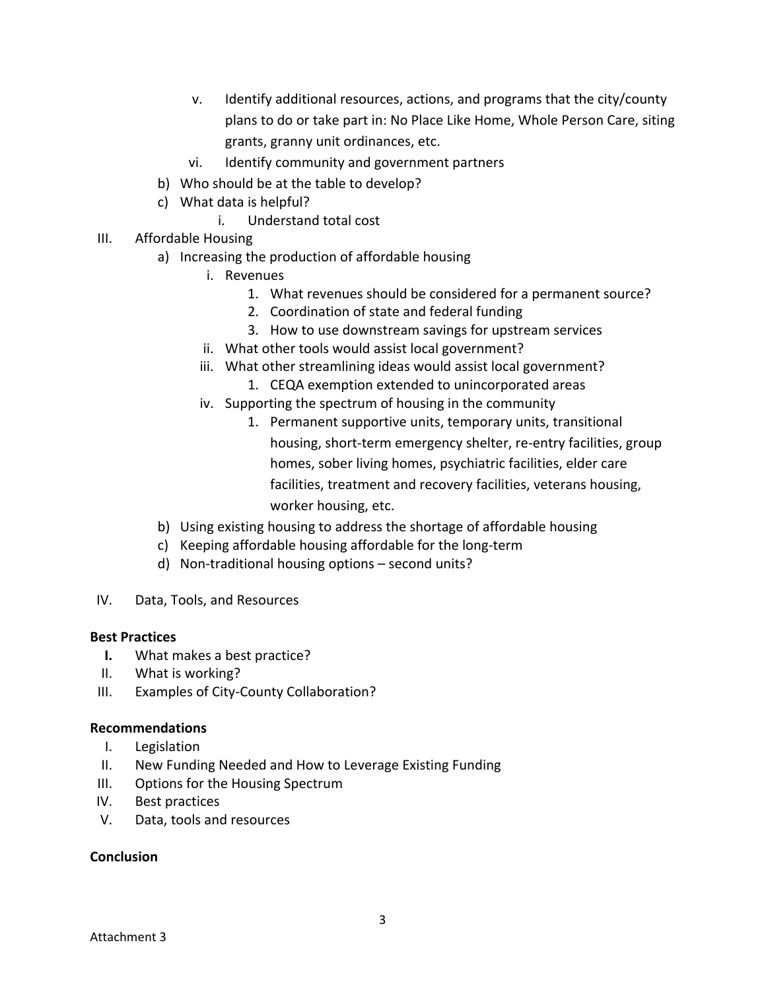- v. Identify additional resources, actions, and programs that the city/county plans to do or take part in: No Place Like Home, Whole Person Care, siting grants, granny unit ordinances, etc.
- vi. Identify community and government partners
- b) Who should be at the table to develop?
- c) What data is helpful?
	- i. Understand total cost
- III. Affordable Housing
	- a) Increasing the production of affordable housing
		- i. Revenues
			- 1. What revenues should be considered for a permanent source?
			- 2. Coordination of state and federal funding
			- 3. How to use downstream savings for upstream services
		- ii. What other tools would assist local government?
		- iii. What other streamlining ideas would assist local government?
			- 1. CEQA exemption extended to unincorporated areas
		- iv. Supporting the spectrum of housing in the community
			- 1. Permanent supportive units, temporary units, transitional housing, short-term emergency shelter, re-entry facilities, group homes, sober living homes, psychiatric facilities, elder care facilities, treatment and recovery facilities, veterans housing, worker housing, etc.
	- b) Using existing housing to address the shortage of affordable housing
	- c) Keeping affordable housing affordable for the long‐term
	- d) Non‐traditional housing options second units?
- IV. Data, Tools, and Resources

## **Best Practices**

- **I.** What makes a best practice?
- II. What is working?
- III. Examples of City‐County Collaboration?

## **Recommendations**

- I. Legislation
- II. New Funding Needed and How to Leverage Existing Funding
- III. Options for the Housing Spectrum
- IV. Best practices
- V. Data, tools and resources

## **Conclusion**